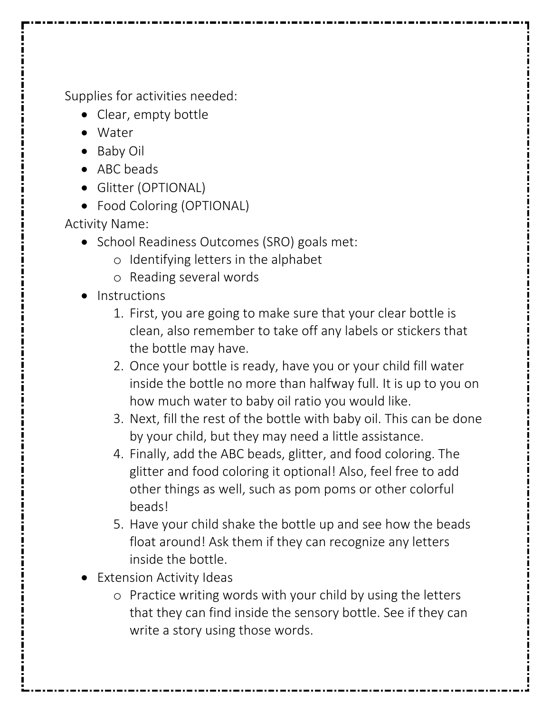Supplies for activities needed:

- Clear, empty bottle
- Water
- Baby Oil
- ABC beads
- Glitter (OPTIONAL)
- Food Coloring (OPTIONAL)

Activity Name:

- School Readiness Outcomes (SRO) goals met:
	- o Identifying letters in the alphabet
	- o Reading several words
- Instructions
	- 1. First, you are going to make sure that your clear bottle is clean, also remember to take off any labels or stickers that the bottle may have.
	- 2. Once your bottle is ready, have you or your child fill water inside the bottle no more than halfway full. It is up to you on how much water to baby oil ratio you would like.
	- 3. Next, fill the rest of the bottle with baby oil. This can be done by your child, but they may need a little assistance.
	- 4. Finally, add the ABC beads, glitter, and food coloring. The glitter and food coloring it optional! Also, feel free to add other things as well, such as pom poms or other colorful beads!
	- 5. Have your child shake the bottle up and see how the beads float around! Ask them if they can recognize any letters inside the bottle.
- Extension Activity Ideas
	- o Practice writing words with your child by using the letters that they can find inside the sensory bottle. See if they can write a story using those words.